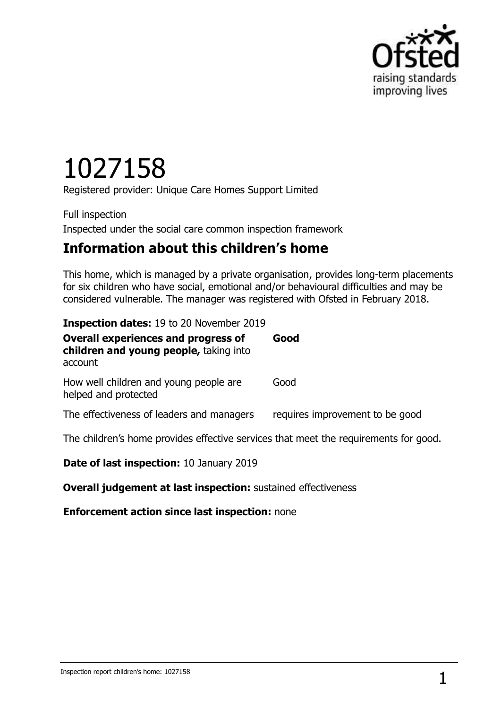

# 1027158

Registered provider: Unique Care Homes Support Limited

Full inspection Inspected under the social care common inspection framework

## **Information about this children's home**

This home, which is managed by a private organisation, provides long-term placements for six children who have social, emotional and/or behavioural difficulties and may be considered vulnerable. The manager was registered with Ofsted in February 2018.

| <b>Inspection dates: 19 to 20 November 2019</b> |  |  |  |
|-------------------------------------------------|--|--|--|
|-------------------------------------------------|--|--|--|

| <b>Overall experiences and progress of</b><br>children and young people, taking into<br>account | Good                            |
|-------------------------------------------------------------------------------------------------|---------------------------------|
| How well children and young people are<br>helped and protected                                  | Good                            |
| The effectiveness of leaders and managers                                                       | requires improvement to be good |
| The children's home provides effective services that meet the requirements for good.            |                                 |
| B.L. - L. - L. 40 1 00                                                                          |                                 |

**Date of last inspection:** 10 January 2019

**Overall judgement at last inspection:** sustained effectiveness

**Enforcement action since last inspection:** none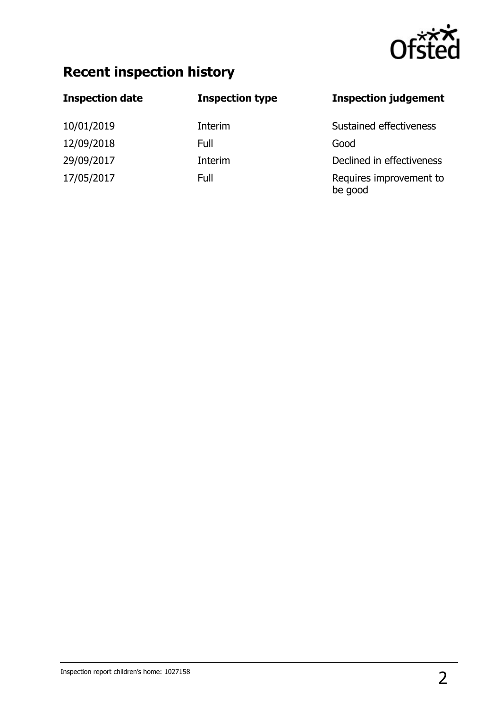

## **Recent inspection history**

| <b>Inspection date</b> | <b>Inspection type</b> | <b>Inspection judgement</b>        |
|------------------------|------------------------|------------------------------------|
| 10/01/2019             | Interim                | Sustained effectiveness            |
| 12/09/2018             | Full                   | Good                               |
| 29/09/2017             | Interim                | Declined in effectiveness          |
| 17/05/2017             | Full                   | Requires improvement to<br>be good |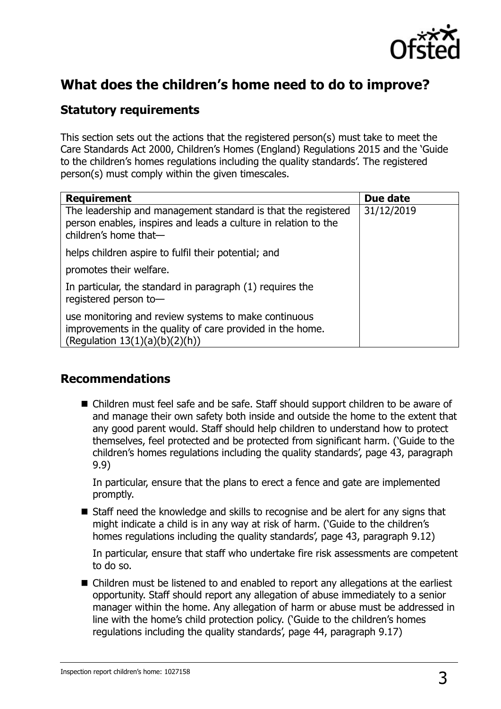

## **What does the children's home need to do to improve?**

#### **Statutory requirements**

This section sets out the actions that the registered person(s) must take to meet the Care Standards Act 2000, Children's Homes (England) Regulations 2015 and the 'Guide to the children's homes regulations including the quality standards'. The registered person(s) must comply within the given timescales.

| <b>Requirement</b>                                                                                                                                        | Due date   |
|-----------------------------------------------------------------------------------------------------------------------------------------------------------|------------|
| The leadership and management standard is that the registered<br>person enables, inspires and leads a culture in relation to the<br>children's home that- | 31/12/2019 |
| helps children aspire to fulfil their potential; and                                                                                                      |            |
| promotes their welfare.                                                                                                                                   |            |
| In particular, the standard in paragraph (1) requires the<br>registered person to-                                                                        |            |
| use monitoring and review systems to make continuous<br>improvements in the quality of care provided in the home.<br>(Regulation $13(1)(a)(b)(2)(h)$ )    |            |

#### **Recommendations**

■ Children must feel safe and be safe. Staff should support children to be aware of and manage their own safety both inside and outside the home to the extent that any good parent would. Staff should help children to understand how to protect themselves, feel protected and be protected from significant harm. ('Guide to the children's homes regulations including the quality standards', page 43, paragraph 9.9)

In particular, ensure that the plans to erect a fence and gate are implemented promptly.

■ Staff need the knowledge and skills to recognise and be alert for any signs that might indicate a child is in any way at risk of harm. ('Guide to the children's homes regulations including the quality standards', page 43, paragraph 9.12)

In particular, ensure that staff who undertake fire risk assessments are competent to do so.

■ Children must be listened to and enabled to report any allegations at the earliest opportunity. Staff should report any allegation of abuse immediately to a senior manager within the home. Any allegation of harm or abuse must be addressed in line with the home's child protection policy. ('Guide to the children's homes regulations including the quality standards', page 44, paragraph 9.17)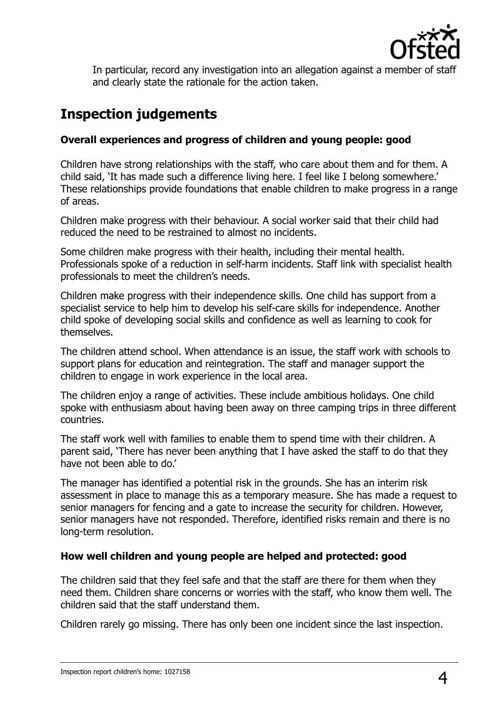

In particular, record any investigation into an allegation against a member of staff and clearly state the rationale for the action taken.

## **Inspection judgements**

#### **Overall experiences and progress of children and young people: good**

Children have strong relationships with the staff, who care about them and for them. A child said, 'It has made such a difference living here. I feel like I belong somewhere.' These relationships provide foundations that enable children to make progress in a range of areas.

Children make progress with their behaviour. A social worker said that their child had reduced the need to be restrained to almost no incidents.

Some children make progress with their health, including their mental health. Professionals spoke of a reduction in self-harm incidents. Staff link with specialist health professionals to meet the children's needs.

Children make progress with their independence skills. One child has support from a specialist service to help him to develop his self-care skills for independence. Another child spoke of developing social skills and confidence as well as learning to cook for themselves.

The children attend school. When attendance is an issue, the staff work with schools to support plans for education and reintegration. The staff and manager support the children to engage in work experience in the local area.

The children enjoy a range of activities. These include ambitious holidays. One child spoke with enthusiasm about having been away on three camping trips in three different countries.

The staff work well with families to enable them to spend time with their children. A parent said, 'There has never been anything that I have asked the staff to do that they have not been able to do.'

The manager has identified a potential risk in the grounds. She has an interim risk assessment in place to manage this as a temporary measure. She has made a request to senior managers for fencing and a gate to increase the security for children. However, senior managers have not responded. Therefore, identified risks remain and there is no long-term resolution.

#### **How well children and young people are helped and protected: good**

The children said that they feel safe and that the staff are there for them when they need them. Children share concerns or worries with the staff, who know them well. The children said that the staff understand them.

Children rarely go missing. There has only been one incident since the last inspection.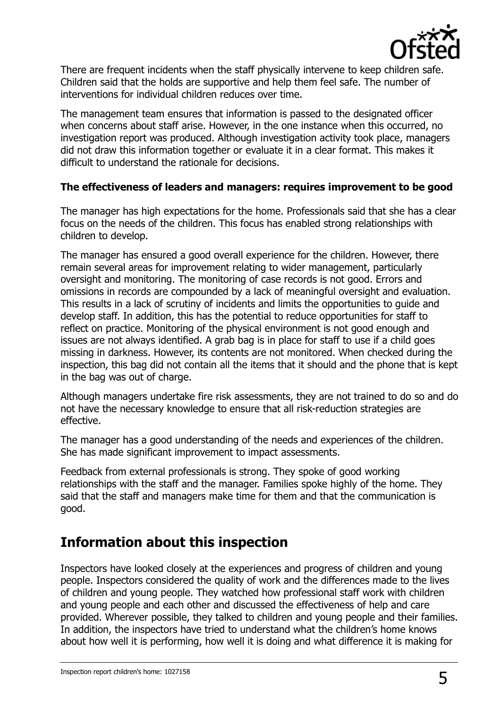

There are frequent incidents when the staff physically intervene to keep children safe. Children said that the holds are supportive and help them feel safe. The number of interventions for individual children reduces over time.

The management team ensures that information is passed to the designated officer when concerns about staff arise. However, in the one instance when this occurred, no investigation report was produced. Although investigation activity took place, managers did not draw this information together or evaluate it in a clear format. This makes it difficult to understand the rationale for decisions.

#### **The effectiveness of leaders and managers: requires improvement to be good**

The manager has high expectations for the home. Professionals said that she has a clear focus on the needs of the children. This focus has enabled strong relationships with children to develop.

The manager has ensured a good overall experience for the children. However, there remain several areas for improvement relating to wider management, particularly oversight and monitoring. The monitoring of case records is not good. Errors and omissions in records are compounded by a lack of meaningful oversight and evaluation. This results in a lack of scrutiny of incidents and limits the opportunities to guide and develop staff. In addition, this has the potential to reduce opportunities for staff to reflect on practice. Monitoring of the physical environment is not good enough and issues are not always identified. A grab bag is in place for staff to use if a child goes missing in darkness. However, its contents are not monitored. When checked during the inspection, this bag did not contain all the items that it should and the phone that is kept in the bag was out of charge.

Although managers undertake fire risk assessments, they are not trained to do so and do not have the necessary knowledge to ensure that all risk-reduction strategies are effective.

The manager has a good understanding of the needs and experiences of the children. She has made significant improvement to impact assessments.

Feedback from external professionals is strong. They spoke of good working relationships with the staff and the manager. Families spoke highly of the home. They said that the staff and managers make time for them and that the communication is good.

## **Information about this inspection**

Inspectors have looked closely at the experiences and progress of children and young people. Inspectors considered the quality of work and the differences made to the lives of children and young people. They watched how professional staff work with children and young people and each other and discussed the effectiveness of help and care provided. Wherever possible, they talked to children and young people and their families. In addition, the inspectors have tried to understand what the children's home knows about how well it is performing, how well it is doing and what difference it is making for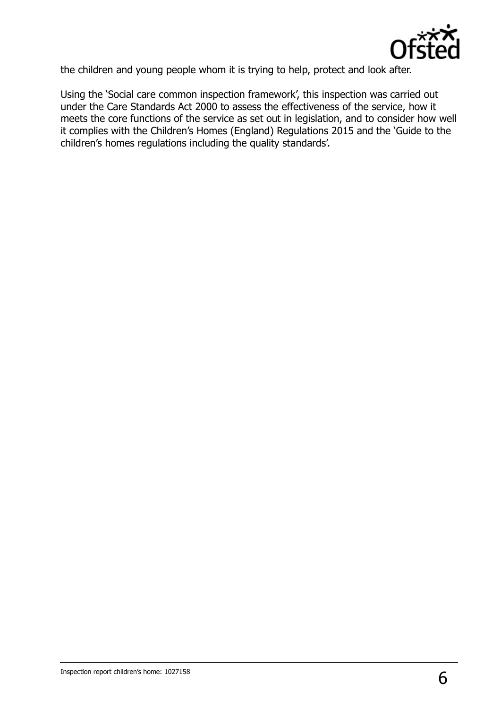

the children and young people whom it is trying to help, protect and look after.

Using the 'Social care common inspection framework', this inspection was carried out under the Care Standards Act 2000 to assess the effectiveness of the service, how it meets the core functions of the service as set out in legislation, and to consider how well it complies with the Children's Homes (England) Regulations 2015 and the 'Guide to the children's homes regulations including the quality standards'.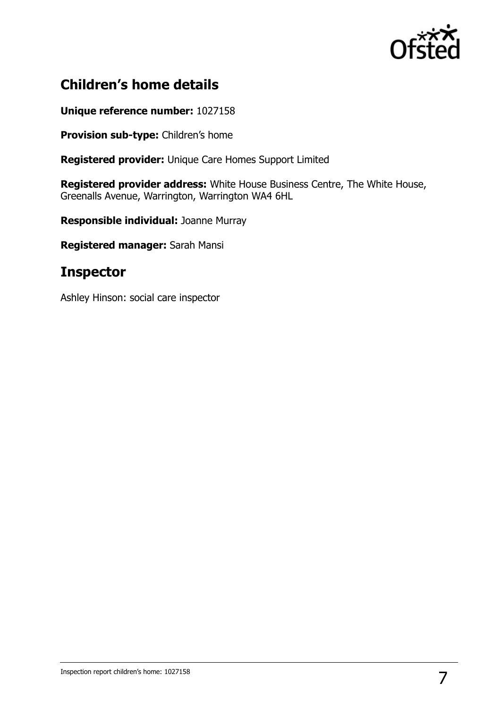

## **Children's home details**

**Unique reference number:** 1027158

**Provision sub-type:** Children's home

**Registered provider:** Unique Care Homes Support Limited

**Registered provider address:** White House Business Centre, The White House, Greenalls Avenue, Warrington, Warrington WA4 6HL

**Responsible individual:** Joanne Murray

**Registered manager:** Sarah Mansi

### **Inspector**

Ashley Hinson: social care inspector